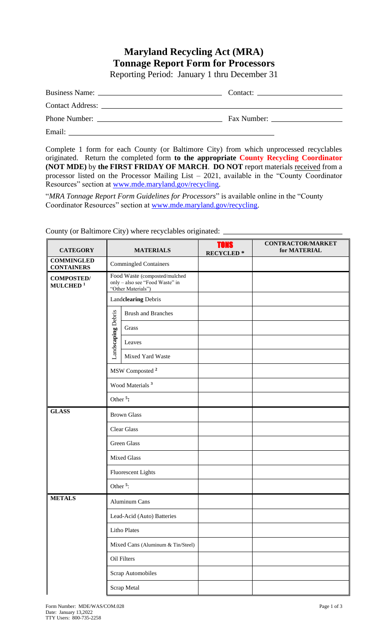## **Maryland Recycling Act (MRA) Tonnage Report Form for Processors** Reporting Period: January 1 thru December 31

| Fax Number: |
|-------------|

Email:

Complete 1 form for each County (or Baltimore City) from which unprocessed recyclables originated. Return the completed form **to the appropriate County Recycling Coordinator (NOT MDE)** by **the FIRST FRIDAY OF MARCH**. **DO NOT** report materials received from a processor listed on the Processor Mailing List – 2021, available in the "County Coordinator Resources" section at [www.mde.maryland.gov/recycling.](http://www.mde.maryland.gov/recycling)

"*MRA Tonnage Report Form Guidelines for Processors*" is available online in the "County Coordinator Resources" section at [www.mde.maryland.gov/recycling.](http://www.mde.maryland.gov/recycling)

| <b>CATEGORY</b>                           | <b>MATERIALS</b>                                                                       |                                   | <b>TONS</b><br><b>RECYCLED*</b> | <b>CONTRACTOR/MARKET</b><br>for MATERIAL |
|-------------------------------------------|----------------------------------------------------------------------------------------|-----------------------------------|---------------------------------|------------------------------------------|
| <b>COMMINGLED</b><br><b>CONTAINERS</b>    |                                                                                        | <b>Commingled Containers</b>      |                                 |                                          |
| <b>COMPOSTED/</b><br>MULCHED <sup>1</sup> | Food Waste (composted/mulched<br>only - also see "Food Waste" in<br>"Other Materials") |                                   |                                 |                                          |
|                                           | Landclearing Debris                                                                    |                                   |                                 |                                          |
|                                           |                                                                                        | <b>Brush and Branches</b>         |                                 |                                          |
|                                           |                                                                                        | Grass                             |                                 |                                          |
|                                           | Landscaping Debris                                                                     | Leaves                            |                                 |                                          |
|                                           |                                                                                        | Mixed Yard Waste                  |                                 |                                          |
|                                           | MSW Composted <sup>2</sup>                                                             |                                   |                                 |                                          |
|                                           | Wood Materials <sup>3</sup>                                                            |                                   |                                 |                                          |
|                                           | Other <sup>5</sup> :                                                                   |                                   |                                 |                                          |
| <b>GLASS</b>                              | <b>Brown Glass</b>                                                                     |                                   |                                 |                                          |
|                                           | <b>Clear Glass</b>                                                                     |                                   |                                 |                                          |
|                                           | <b>Green Glass</b>                                                                     |                                   |                                 |                                          |
|                                           | <b>Mixed Glass</b>                                                                     |                                   |                                 |                                          |
|                                           | <b>Fluorescent Lights</b>                                                              |                                   |                                 |                                          |
|                                           | Other <sup>5</sup> :                                                                   |                                   |                                 |                                          |
| <b>METALS</b>                             | <b>Aluminum Cans</b>                                                                   |                                   |                                 |                                          |
|                                           | Lead-Acid (Auto) Batteries                                                             |                                   |                                 |                                          |
|                                           |                                                                                        | <b>Litho Plates</b>               |                                 |                                          |
|                                           |                                                                                        | Mixed Cans (Aluminum & Tin/Steel) |                                 |                                          |
|                                           |                                                                                        | Oil Filters                       |                                 |                                          |
|                                           |                                                                                        | <b>Scrap Automobiles</b>          |                                 |                                          |
|                                           |                                                                                        | Scrap Metal                       |                                 |                                          |

County (or Baltimore City) where recyclables originated: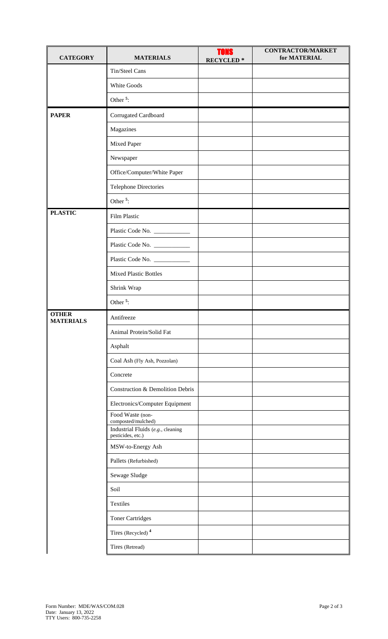| <b>CATEGORY</b>                  | <b>MATERIALS</b>                                       | <b>TONS</b><br><b>RECYCLED*</b> | <b>CONTRACTOR/MARKET</b><br>for MATERIAL |
|----------------------------------|--------------------------------------------------------|---------------------------------|------------------------------------------|
|                                  | Tin/Steel Cans                                         |                                 |                                          |
|                                  | White Goods                                            |                                 |                                          |
|                                  | Other <sup>5</sup> :                                   |                                 |                                          |
| <b>PAPER</b>                     | Corrugated Cardboard                                   |                                 |                                          |
|                                  | Magazines                                              |                                 |                                          |
|                                  | Mixed Paper                                            |                                 |                                          |
|                                  | Newspaper                                              |                                 |                                          |
|                                  | Office/Computer/White Paper                            |                                 |                                          |
|                                  | <b>Telephone Directories</b>                           |                                 |                                          |
|                                  | Other <sup><math>5</math></sup> :                      |                                 |                                          |
| <b>PLASTIC</b>                   | Film Plastic                                           |                                 |                                          |
|                                  | Plastic Code No.                                       |                                 |                                          |
|                                  | Plastic Code No. __________                            |                                 |                                          |
|                                  |                                                        |                                 |                                          |
|                                  | <b>Mixed Plastic Bottles</b>                           |                                 |                                          |
|                                  | Shrink Wrap                                            |                                 |                                          |
|                                  | Other <sup>5</sup> :                                   |                                 |                                          |
| <b>OTHER</b><br><b>MATERIALS</b> | Antifreeze                                             |                                 |                                          |
|                                  | Animal Protein/Solid Fat                               |                                 |                                          |
|                                  | Asphalt                                                |                                 |                                          |
|                                  | Coal Ash (Fly Ash, Pozzolan)                           |                                 |                                          |
|                                  | Concrete                                               |                                 |                                          |
|                                  | Construction & Demolition Debris                       |                                 |                                          |
|                                  | Electronics/Computer Equipment                         |                                 |                                          |
|                                  | Food Waste (non-<br>composted/mulched)                 |                                 |                                          |
|                                  | Industrial Fluids (e.g., cleaning<br>pesticides, etc.) |                                 |                                          |
|                                  | MSW-to-Energy Ash                                      |                                 |                                          |
|                                  | Pallets (Refurbished)                                  |                                 |                                          |
|                                  | Sewage Sludge                                          |                                 |                                          |
|                                  | Soil                                                   |                                 |                                          |
|                                  | Textiles                                               |                                 |                                          |
|                                  | <b>Toner Cartridges</b>                                |                                 |                                          |
|                                  | Tires (Recycled) <sup>4</sup>                          |                                 |                                          |
|                                  | Tires (Retread)                                        |                                 |                                          |